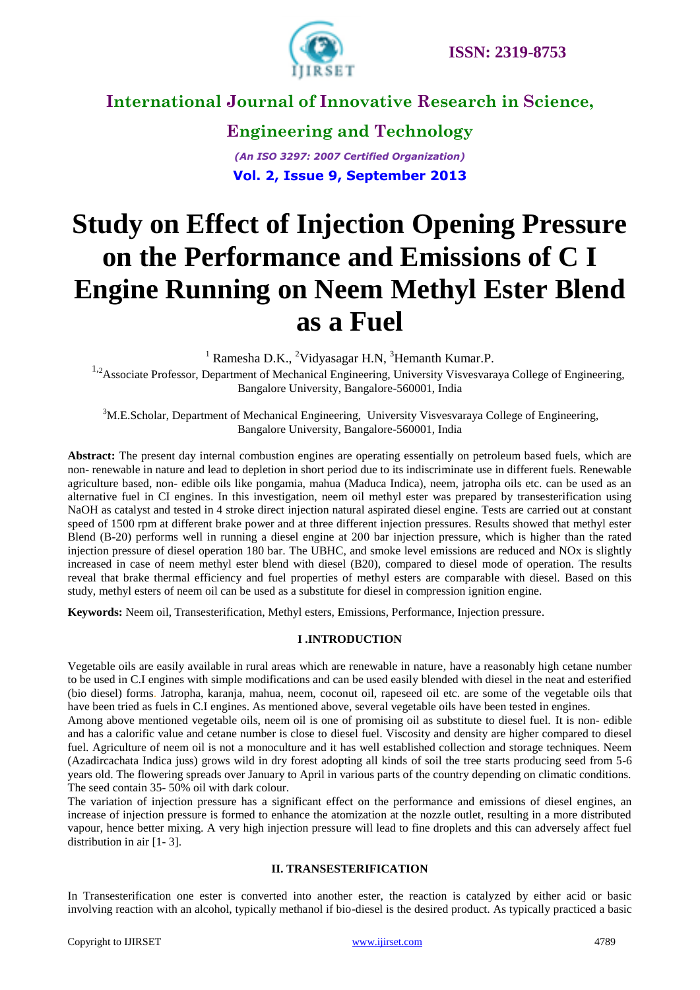

**Engineering and Technology** *(An ISO 3297: 2007 Certified Organization)* **Vol. 2, Issue 9, September 2013**

# **Study on Effect of Injection Opening Pressure on the Performance and Emissions of C I Engine Running on Neem Methyl Ester Blend as a Fuel**

 $1$  Ramesha D.K., <sup>2</sup>Vidyasagar H.N, <sup>3</sup>Hemanth Kumar.P.

<sup>1,2</sup>Associate Professor, Department of Mechanical Engineering, University Visvesvaraya College of Engineering, Bangalore University, Bangalore-560001, India

<sup>3</sup>M.E.Scholar, Department of Mechanical Engineering, University Visvesvaraya College of Engineering, Bangalore University, Bangalore-560001, India

**Abstract:** The present day internal combustion engines are operating essentially on petroleum based fuels, which are non- renewable in nature and lead to depletion in short period due to its indiscriminate use in different fuels. Renewable agriculture based, non- edible oils like pongamia, mahua (Maduca Indica), neem, jatropha oils etc. can be used as an alternative fuel in CI engines. In this investigation, neem oil methyl ester was prepared by transesterification using NaOH as catalyst and tested in 4 stroke direct injection natural aspirated diesel engine. Tests are carried out at constant speed of 1500 rpm at different brake power and at three different injection pressures. Results showed that methyl ester Blend (B-20) performs well in running a diesel engine at 200 bar injection pressure, which is higher than the rated injection pressure of diesel operation 180 bar. The UBHC, and smoke level emissions are reduced and NOx is slightly increased in case of neem methyl ester blend with diesel (B20), compared to diesel mode of operation. The results reveal that brake thermal efficiency and fuel properties of methyl esters are comparable with diesel. Based on this study, methyl esters of neem oil can be used as a substitute for diesel in compression ignition engine.

**Keywords:** Neem oil, Transesterification, Methyl esters, Emissions, Performance, Injection pressure*.*

#### **I .INTRODUCTION**

Vegetable oils are easily available in rural areas which are renewable in nature, have a reasonably high cetane number to be used in C.I engines with simple modifications and can be used easily blended with diesel in the neat and esterified (bio diesel) forms. Jatropha, karanja, mahua, neem, coconut oil, rapeseed oil etc. are some of the vegetable oils that have been tried as fuels in C.I engines. As mentioned above, several vegetable oils have been tested in engines.

Among above mentioned vegetable oils, neem oil is one of promising oil as substitute to diesel fuel. It is non- edible and has a calorific value and cetane number is close to diesel fuel. Viscosity and density are higher compared to diesel fuel. Agriculture of neem oil is not a monoculture and it has well established collection and storage techniques. Neem (Azadircachata Indica juss) grows wild in dry forest adopting all kinds of soil the tree starts producing seed from 5-6 years old. The flowering spreads over January to April in various parts of the country depending on climatic conditions. The seed contain 35- 50% oil with dark colour.

The variation of injection pressure has a significant effect on the performance and emissions of diesel engines, an increase of injection pressure is formed to enhance the atomization at the nozzle outlet, resulting in a more distributed vapour, hence better mixing. A very high injection pressure will lead to fine droplets and this can adversely affect fuel distribution in air [1- 3].

#### **II. TRANSESTERIFICATION**

In Transesterification one ester is converted into another ester, the reaction is catalyzed by either acid or basic involving reaction with an alcohol, typically methanol if bio-diesel is the desired product. As typically practiced a basic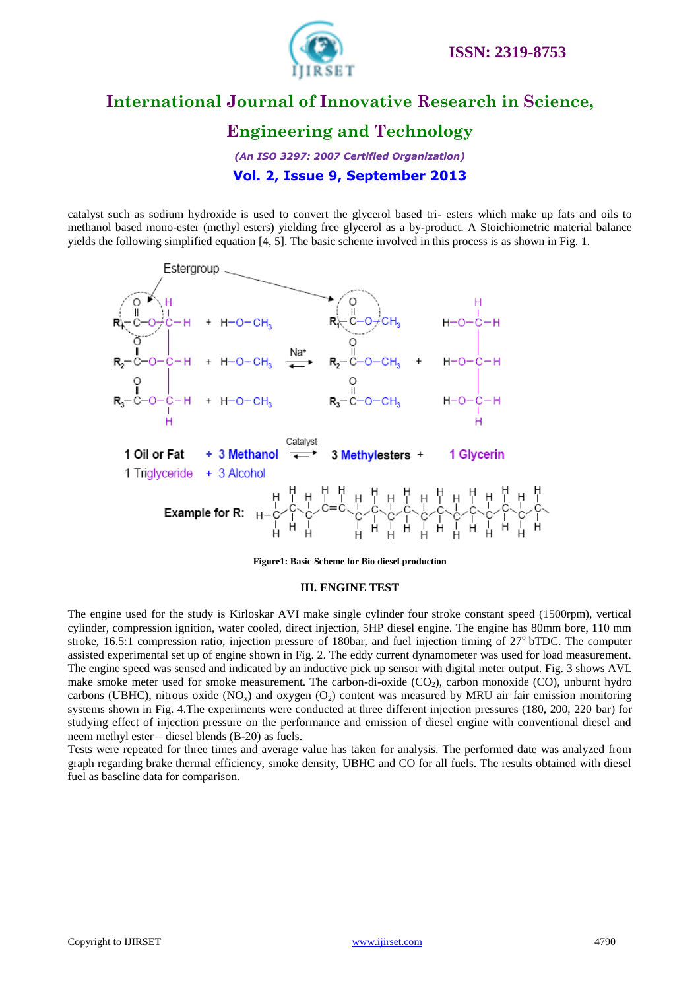

### **Engineering and Technology**

*(An ISO 3297: 2007 Certified Organization)* **Vol. 2, Issue 9, September 2013**

catalyst such as sodium hydroxide is used to convert the glycerol based tri- esters which make up fats and oils to methanol based mono-ester (methyl esters) yielding free glycerol as a by-product. A Stoichiometric material balance yields the following simplified equation [4, 5]. The basic scheme involved in this process is as shown in Fig. 1.



**Figure1: Basic Scheme for Bio diesel production**

#### **III. ENGINE TEST**

The engine used for the study is Kirloskar AVI make single cylinder four stroke constant speed (1500rpm), vertical cylinder, compression ignition, water cooled, direct injection, 5HP diesel engine. The engine has 80mm bore, 110 mm stroke, 16.5:1 compression ratio, injection pressure of 180bar, and fuel injection timing of  $27^{\circ}$  bTDC. The computer assisted experimental set up of engine shown in Fig. 2. The eddy current dynamometer was used for load measurement. The engine speed was sensed and indicated by an inductive pick up sensor with digital meter output. Fig. 3 shows AVL make smoke meter used for smoke measurement. The carbon-di-oxide  $(CO<sub>2</sub>)$ , carbon monoxide  $(CO)$ , unburnt hydro carbons (UBHC), nitrous oxide  $(NO<sub>x</sub>)$  and oxygen  $(O<sub>2</sub>)$  content was measured by MRU air fair emission monitoring systems shown in Fig. 4.The experiments were conducted at three different injection pressures (180, 200, 220 bar) for studying effect of injection pressure on the performance and emission of diesel engine with conventional diesel and neem methyl ester – diesel blends (B-20) as fuels.

Tests were repeated for three times and average value has taken for analysis. The performed date was analyzed from graph regarding brake thermal efficiency, smoke density, UBHC and CO for all fuels. The results obtained with diesel fuel as baseline data for comparison.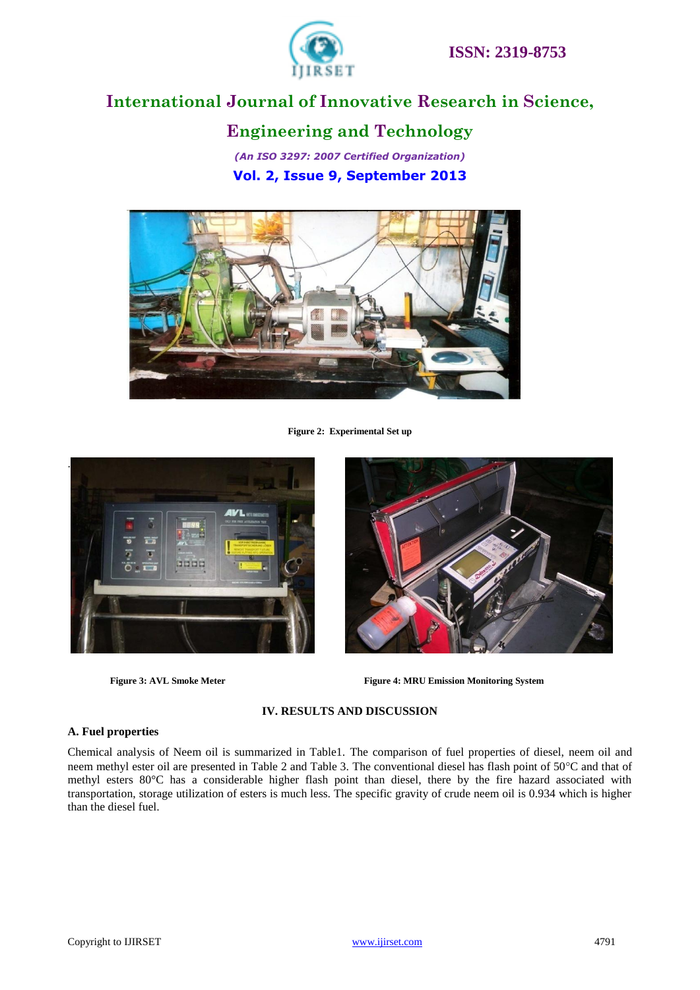

### **Engineering and Technology**

*(An ISO 3297: 2007 Certified Organization)* **Vol. 2, Issue 9, September 2013**



**Figure 2: Experimental Set up**





**Figure 3: AVL Smoke Meter Figure 4: MRU Emission Monitoring System**

#### **IV. RESULTS AND DISCUSSION**

#### **A. Fuel properties**

Chemical analysis of Neem oil is summarized in Table1. The comparison of fuel properties of diesel, neem oil and neem methyl ester oil are presented in Table 2 and Table 3. The conventional diesel has flash point of 50°C and that of methyl esters 80°C has a considerable higher flash point than diesel, there by the fire hazard associated with transportation, storage utilization of esters is much less. The specific gravity of crude neem oil is 0.934 which is higher than the diesel fuel.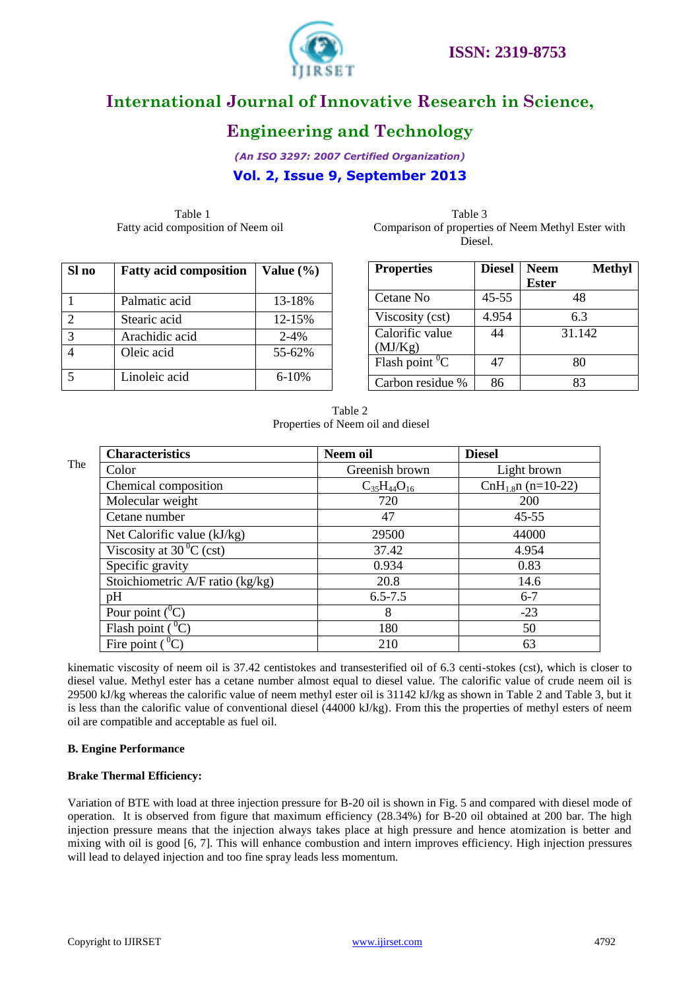

### **Engineering and Technology**

*(An ISO 3297: 2007 Certified Organization)*

**Vol. 2, Issue 9, September 2013**

Table 1 and 1 and 1 and 1 and 1 and 1 and 1 and 1 and 1 and 1 and 1 and 1 and 1 and 1 and 1 and 1 and 1 and 1 and 1 and 1 and 1 and 1 and 1 and 1 and 1 and 1 and 1 and 1 and 1 and 1 and 1 and 1 and 1 and 1 and 1 and 1 and Fatty acid composition of Neem oil

| Table 3                                            |  |
|----------------------------------------------------|--|
| Comparison of properties of Neem Methyl Ester with |  |
| Diesel.                                            |  |

| Sl no         | <b>Fatty acid composition</b> | Value $(\% )$ |
|---------------|-------------------------------|---------------|
|               | Palmatic acid                 | 13-18%        |
| $\mathcal{D}$ | Stearic acid                  | 12-15%        |
| 3             | Arachidic acid                | $2 - 4%$      |
|               | Oleic acid                    | 55-62%        |
|               | Linoleic acid                 | $6 - 10%$     |

| <b>Properties</b> | <b>Diesel</b> | <b>Neem</b>  | <b>Methyl</b> |
|-------------------|---------------|--------------|---------------|
|                   |               | <b>Ester</b> |               |
| Cetane No         | 45-55         |              | 48            |
| Viscosity (cst)   | 4.954         | 6.3          |               |
| Calorific value   | 44            | 31.142       |               |
| (MJ/Kg)           |               |              |               |
| Flash point $^0C$ | 47            |              | 80            |
| Carbon residue %  | 86            |              | 83            |

Table 2 Properties of Neem oil and diesel

|     | <b>Characteristics</b>                                   | Neem oil             | <b>Diesel</b>       |
|-----|----------------------------------------------------------|----------------------|---------------------|
| The | Color                                                    | Greenish brown       | Light brown         |
|     | Chemical composition                                     | $C_{35}H_{44}O_{16}$ | $ChH1.8n (n=10-22)$ |
|     | Molecular weight                                         | 720                  | 200                 |
|     | Cetane number                                            | 47                   | $45 - 55$           |
|     | Net Calorific value (kJ/kg)                              | 29500                | 44000               |
|     | Viscosity at $30^{\circ}$ C (cst)                        | 37.42                | 4.954               |
|     | Specific gravity                                         | 0.934                | 0.83                |
|     | Stoichiometric A/F ratio (kg/kg)                         | 20.8                 | 14.6                |
|     | pH                                                       | $6.5 - 7.5$          | $6 - 7$             |
|     | Pour point $(^0C)$                                       | 8                    | $-23$               |
|     | Flash point $(^0C)$                                      | 180                  | 50                  |
|     | Fire point $\left(\begin{matrix}0\\0\end{matrix}\right)$ | 210                  | 63                  |

kinematic viscosity of neem oil is 37.42 centistokes and transesterified oil of 6.3 centi-stokes (cst), which is closer to diesel value. Methyl ester has a cetane number almost equal to diesel value. The calorific value of crude neem oil is 29500 kJ/kg whereas the calorific value of neem methyl ester oil is 31142 kJ/kg as shown in Table 2 and Table 3, but it is less than the calorific value of conventional diesel (44000 kJ/kg). From this the properties of methyl esters of neem oil are compatible and acceptable as fuel oil.

#### **B. Engine Performance**

#### **Brake Thermal Efficiency:**

Variation of BTE with load at three injection pressure for B-20 oil is shown in Fig. 5 and compared with diesel mode of operation. It is observed from figure that maximum efficiency (28.34%) for B-20 oil obtained at 200 bar. The high injection pressure means that the injection always takes place at high pressure and hence atomization is better and mixing with oil is good [6, 7]. This will enhance combustion and intern improves efficiency. High injection pressures will lead to delayed injection and too fine spray leads less momentum.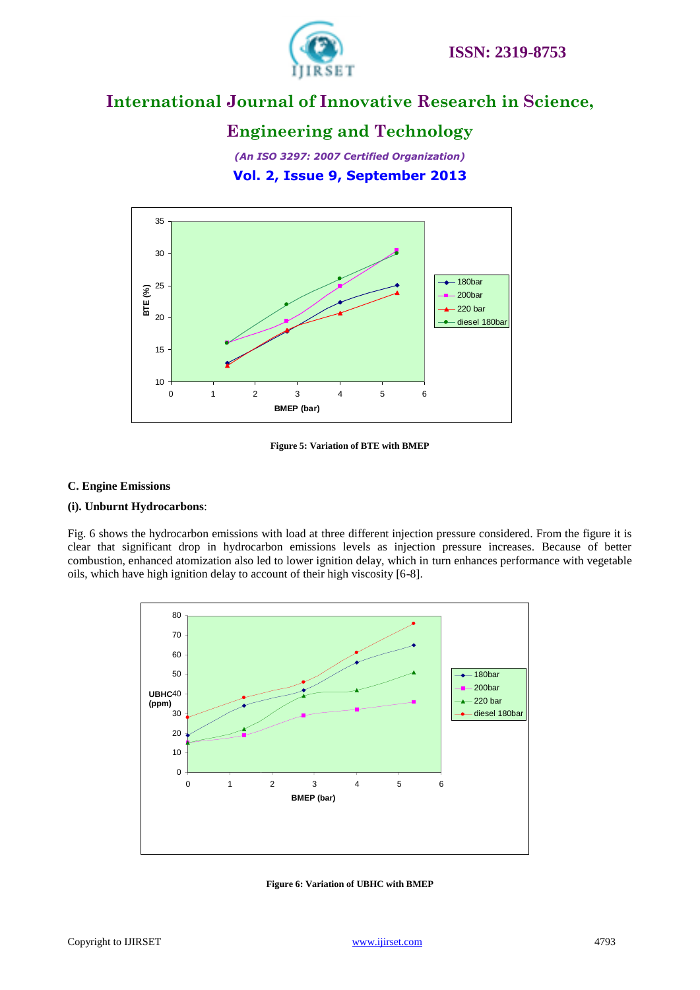

### **Engineering and Technology**

*(An ISO 3297: 2007 Certified Organization)* **Vol. 2, Issue 9, September 2013**



**Figure 5: Variation of BTE with BMEP**

#### **C. Engine Emissions**

#### **(i). Unburnt Hydrocarbons**:

Fig. 6 shows the hydrocarbon emissions with load at three different injection pressure considered. From the figure it is clear that significant drop in hydrocarbon emissions levels as injection pressure increases. Because of better combustion, enhanced atomization also led to lower ignition delay, which in turn enhances performance with vegetable oils, which have high ignition delay to account of their high viscosity [6-8].



**Figure 6: Variation of UBHC with BMEP**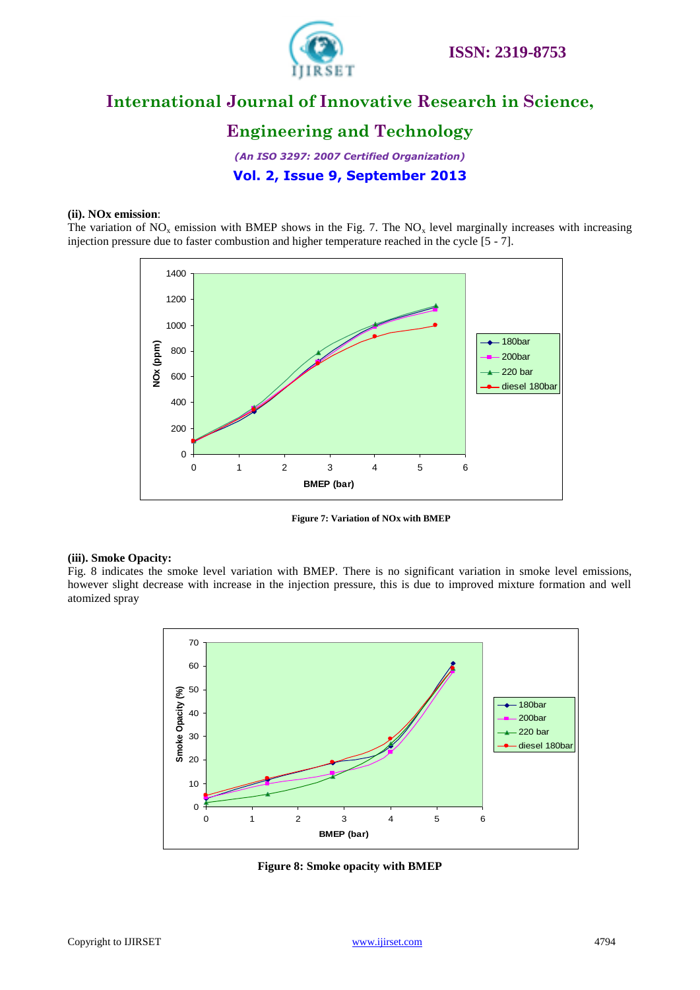

### **Engineering and Technology**

*(An ISO 3297: 2007 Certified Organization)* **Vol. 2, Issue 9, September 2013**

#### **(ii). NOx emission**:

The variation of  $NO<sub>x</sub>$  emission with BMEP shows in the Fig. 7. The  $NO<sub>x</sub>$  level marginally increases with increasing injection pressure due to faster combustion and higher temperature reached in the cycle [5 - 7].



**Figure 7: Variation of NOx with BMEP**

#### **(iii). Smoke Opacity:**

Fig. 8 indicates the smoke level variation with BMEP. There is no significant variation in smoke level emissions, however slight decrease with increase in the injection pressure, this is due to improved mixture formation and well atomized spray



**Figure 8: Smoke opacity with BMEP**